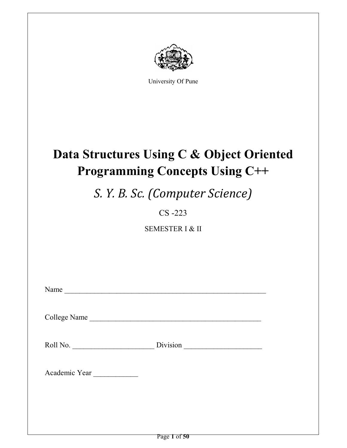

University Of Pune

# Data Structures Using C & Object Oriented Programming Concepts Using C++

S. Y. B. Sc. (Computer Science)

CS -223

SEMESTER I & II

| Name         |  |
|--------------|--|
| College Name |  |
| Roll No.     |  |
|              |  |
|              |  |
|              |  |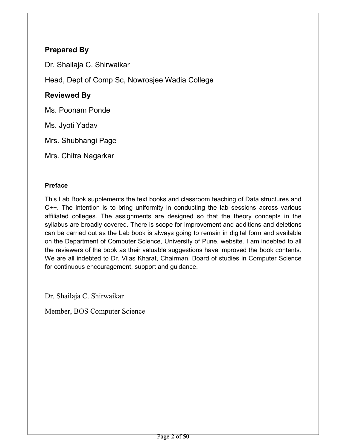## Prepared By

Dr. Shailaja C. Shirwaikar

Head, Dept of Comp Sc, Nowrosjee Wadia College

## Reviewed By

Ms. Poonam Ponde

Ms. Jyoti Yadav

Mrs. Shubhangi Page

Mrs. Chitra Nagarkar

#### Preface

This Lab Book supplements the text books and classroom teaching of Data structures and C++. The intention is to bring uniformity in conducting the lab sessions across various affiliated colleges. The assignments are designed so that the theory concepts in the syllabus are broadly covered. There is scope for improvement and additions and deletions can be carried out as the Lab book is always going to remain in digital form and available on the Department of Computer Science, University of Pune, website. I am indebted to all the reviewers of the book as their valuable suggestions have improved the book contents. We are all indebted to Dr. Vilas Kharat, Chairman, Board of studies in Computer Science for continuous encouragement, support and guidance.

Dr. Shailaja C. Shirwaikar

Member, BOS Computer Science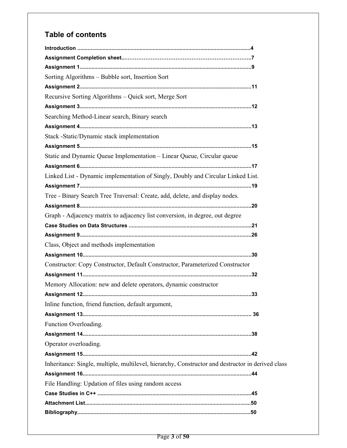## Table of contents

| Sorting Algorithms - Bubble sort, Insertion Sort                                                  |
|---------------------------------------------------------------------------------------------------|
|                                                                                                   |
| Recursive Sorting Algorithms – Quick sort, Merge Sort                                             |
|                                                                                                   |
| Searching Method-Linear search, Binary search                                                     |
|                                                                                                   |
| Stack -Static/Dynamic stack implementation                                                        |
|                                                                                                   |
| Static and Dynamic Queue Implementation - Linear Queue, Circular queue                            |
|                                                                                                   |
| Linked List - Dynamic implementation of Singly, Doubly and Circular Linked List.                  |
|                                                                                                   |
| Tree - Binary Search Tree Traversal: Create, add, delete, and display nodes.                      |
|                                                                                                   |
| Graph - Adjacency matrix to adjacency list conversion, in degree, out degree                      |
|                                                                                                   |
|                                                                                                   |
| Class, Object and methods implementation                                                          |
|                                                                                                   |
|                                                                                                   |
| Constructor: Copy Constructor, Default Constructor, Parameterized Constructor                     |
|                                                                                                   |
| Memory Allocation: new and delete operators, dynamic constructor                                  |
|                                                                                                   |
| Inline function, friend function, default argument,                                               |
|                                                                                                   |
| Function Overloading.                                                                             |
|                                                                                                   |
| Operator overloading.                                                                             |
|                                                                                                   |
| Inheritance: Single, multiple, multilevel, hierarchy, Constructor and destructor in derived class |
|                                                                                                   |
| File Handling: Updation of files using random access                                              |
|                                                                                                   |
|                                                                                                   |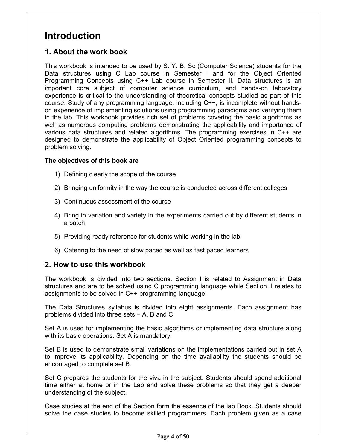## Introduction

## 1. About the work book

This workbook is intended to be used by S. Y. B. Sc (Computer Science) students for the Data structures using C Lab course in Semester I and for the Object Oriented Programming Concepts using C++ Lab course in Semester II. Data structures is an important core subject of computer science curriculum, and hands-on laboratory experience is critical to the understanding of theoretical concepts studied as part of this course. Study of any programming language, including C++, is incomplete without handson experience of implementing solutions using programming paradigms and verifying them in the lab. This workbook provides rich set of problems covering the basic algorithms as well as numerous computing problems demonstrating the applicability and importance of various data structures and related algorithms. The programming exercises in C++ are designed to demonstrate the applicability of Object Oriented programming concepts to problem solving.

#### The objectives of this book are

- 1) Defining clearly the scope of the course
- 2) Bringing uniformity in the way the course is conducted across different colleges
- 3) Continuous assessment of the course
- 4) Bring in variation and variety in the experiments carried out by different students in a batch
- 5) Providing ready reference for students while working in the lab
- 6) Catering to the need of slow paced as well as fast paced learners

#### 2. How to use this workbook

The workbook is divided into two sections. Section I is related to Assignment in Data structures and are to be solved using C programming language while Section II relates to assignments to be solved in C++ programming language.

The Data Structures syllabus is divided into eight assignments. Each assignment has problems divided into three sets – A, B and C

Set A is used for implementing the basic algorithms or implementing data structure along with its basic operations. Set A is mandatory.

Set B is used to demonstrate small variations on the implementations carried out in set A to improve its applicability. Depending on the time availability the students should be encouraged to complete set B.

Set C prepares the students for the viva in the subject. Students should spend additional time either at home or in the Lab and solve these problems so that they get a deeper understanding of the subject.

Case studies at the end of the Section form the essence of the lab Book. Students should solve the case studies to become skilled programmers. Each problem given as a case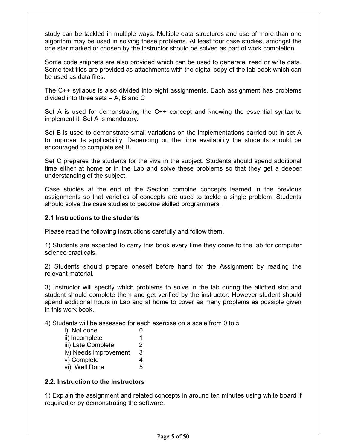study can be tackled in multiple ways. Multiple data structures and use of more than one algorithm may be used in solving these problems. At least four case studies, amongst the one star marked or chosen by the instructor should be solved as part of work completion.

Some code snippets are also provided which can be used to generate, read or write data. Some text files are provided as attachments with the digital copy of the lab book which can be used as data files.

The C++ syllabus is also divided into eight assignments. Each assignment has problems divided into three sets  $- A$ , B and C

Set A is used for demonstrating the C++ concept and knowing the essential syntax to implement it. Set A is mandatory.

Set B is used to demonstrate small variations on the implementations carried out in set A to improve its applicability. Depending on the time availability the students should be encouraged to complete set B.

Set C prepares the students for the viva in the subject. Students should spend additional time either at home or in the Lab and solve these problems so that they get a deeper understanding of the subject.

Case studies at the end of the Section combine concepts learned in the previous assignments so that varieties of concepts are used to tackle a single problem. Students should solve the case studies to become skilled programmers.

#### 2.1 Instructions to the students

Please read the following instructions carefully and follow them.

1) Students are expected to carry this book every time they come to the lab for computer science practicals.

2) Students should prepare oneself before hand for the Assignment by reading the relevant material.

3) Instructor will specify which problems to solve in the lab during the allotted slot and student should complete them and get verified by the instructor. However student should spend additional hours in Lab and at home to cover as many problems as possible given in this work book.

4) Students will be assessed for each exercise on a scale from 0 to 5

| i) Not done           | 0 |
|-----------------------|---|
| ii) Incomplete        | 1 |
| iii) Late Complete    | 2 |
| iv) Needs improvement | 3 |
| v) Complete           | 4 |
| vi) Well Done         | 5 |

#### 2.2. Instruction to the Instructors

1) Explain the assignment and related concepts in around ten minutes using white board if required or by demonstrating the software.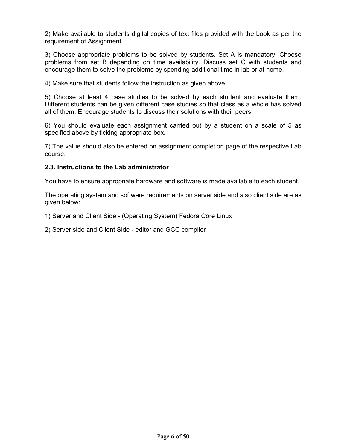2) Make available to students digital copies of text files provided with the book as per the requirement of Assignment,

3) Choose appropriate problems to be solved by students. Set A is mandatory. Choose problems from set B depending on time availability. Discuss set C with students and encourage them to solve the problems by spending additional time in lab or at home.

4) Make sure that students follow the instruction as given above.

5) Choose at least 4 case studies to be solved by each student and evaluate them. Different students can be given different case studies so that class as a whole has solved all of them. Encourage students to discuss their solutions with their peers

6) You should evaluate each assignment carried out by a student on a scale of 5 as specified above by ticking appropriate box.

7) The value should also be entered on assignment completion page of the respective Lab course.

#### 2.3. Instructions to the Lab administrator

You have to ensure appropriate hardware and software is made available to each student.

The operating system and software requirements on server side and also client side are as given below:

1) Server and Client Side - (Operating System) Fedora Core Linux

2) Server side and Client Side - editor and GCC compiler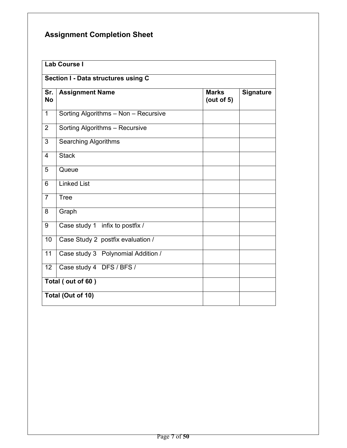## Assignment Completion Sheet

| <b>Lab Course I</b>                 |                                      |                               |                  |
|-------------------------------------|--------------------------------------|-------------------------------|------------------|
| Section I - Data structures using C |                                      |                               |                  |
| Sr.<br><b>No</b>                    | <b>Assignment Name</b>               | <b>Marks</b><br>(out of $5$ ) | <b>Signature</b> |
| $\mathbf{1}$                        | Sorting Algorithms - Non - Recursive |                               |                  |
| $\overline{2}$                      | Sorting Algorithms - Recursive       |                               |                  |
| 3                                   | <b>Searching Algorithms</b>          |                               |                  |
| $\overline{4}$                      | <b>Stack</b>                         |                               |                  |
| 5                                   | Queue                                |                               |                  |
| 6                                   | <b>Linked List</b>                   |                               |                  |
| $\overline{7}$                      | <b>Tree</b>                          |                               |                  |
| 8                                   | Graph                                |                               |                  |
| 9                                   | Case study 1 infix to postfix /      |                               |                  |
| 10                                  | Case Study 2 postfix evaluation /    |                               |                  |
| 11                                  | Case study 3 Polynomial Addition /   |                               |                  |
| 12                                  | Case study 4 DFS / BFS /             |                               |                  |
| Total (out of 60)                   |                                      |                               |                  |
| Total (Out of 10)                   |                                      |                               |                  |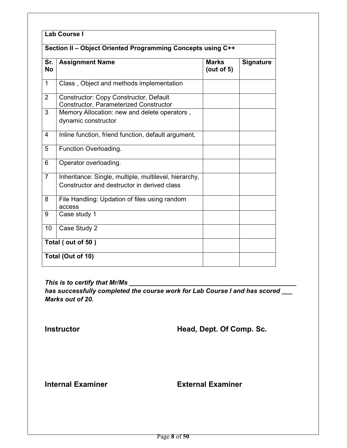|                   | <b>Lab Course I</b>                                                                                  |                               |                  |
|-------------------|------------------------------------------------------------------------------------------------------|-------------------------------|------------------|
|                   | Section II - Object Oriented Programming Concepts using C++                                          |                               |                  |
| Sr.<br>No         | <b>Assignment Name</b>                                                                               | <b>Marks</b><br>(out of $5$ ) | <b>Signature</b> |
| $\mathbf{1}$      | Class, Object and methods implementation                                                             |                               |                  |
| 2                 | <b>Constructor: Copy Constructor, Default</b><br>Constructor, Parameterized Constructor              |                               |                  |
| 3                 | Memory Allocation: new and delete operators,<br>dynamic constructor                                  |                               |                  |
| 4                 | Inline function, friend function, default argument,                                                  |                               |                  |
| 5                 | Function Overloading.                                                                                |                               |                  |
| 6                 | Operator overloading.                                                                                |                               |                  |
| $\overline{7}$    | Inheritance: Single, multiple, multilevel, hierarchy,<br>Constructor and destructor in derived class |                               |                  |
| 8                 | File Handling: Updation of files using random<br>access                                              |                               |                  |
| 9                 | Case study 1                                                                                         |                               |                  |
| 10                | Case Study 2                                                                                         |                               |                  |
| Total (out of 50) |                                                                                                      |                               |                  |
|                   | Total (Out of 10)                                                                                    |                               |                  |

This is to certify that Mr/Ms \_\_\_\_\_\_\_\_\_\_\_\_\_\_\_\_\_\_\_\_\_\_\_\_\_\_\_\_\_\_\_\_\_\_\_\_\_\_\_\_\_\_\_\_\_\_\_

has successfully completed the course work for Lab Course I and has scored \_\_\_ Marks out of 20.

Instructor **Head, Dept. Of Comp. Sc.** 

Internal Examiner **External Examiner**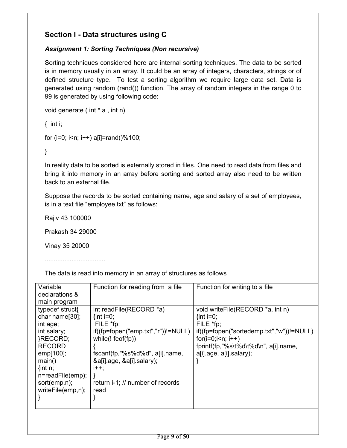## Section I - Data structures using C

## Assignment 1: Sorting Techniques (Non recursive)

Sorting techniques considered here are internal sorting techniques. The data to be sorted is in memory usually in an array. It could be an array of integers, characters, strings or of defined structure type. To test a sorting algorithm we require large data set. Data is generated using random (rand()) function. The array of random integers in the range 0 to 99 is generated by using following code:

```
void generate ( int * a , int n)
```
{ int i;

```
for (i=0; i\le n; i++) a[i]=rand()%100;
```
}

In reality data to be sorted is externally stored in files. One need to read data from files and bring it into memory in an array before sorting and sorted array also need to be written back to an external file.

Suppose the records to be sorted containing name, age and salary of a set of employees, is in a text file "employee.txt" as follows:

Rajiv 43 100000

Prakash 34 29000

Vinay 35 20000

..................................

The data is read into memory in an array of structures as follows

| Variable<br>declarations &<br>main program                                                                                                                                                      | Function for reading from a file                                                                                                                                                                                                                       | Function for writing to a file                                                                                                                                                                                 |
|-------------------------------------------------------------------------------------------------------------------------------------------------------------------------------------------------|--------------------------------------------------------------------------------------------------------------------------------------------------------------------------------------------------------------------------------------------------------|----------------------------------------------------------------------------------------------------------------------------------------------------------------------------------------------------------------|
| typedef struct{<br>char name $[30]$ ;<br>int age;<br>int salary;<br>}RECORD;<br><b>RECORD</b><br>$emp[100]$ ;<br>main()<br>$\{int n;$<br>n=readFile(emp);<br>sort(emp, n);<br>writeFile(emp,n); | int readFile(RECORD *a)<br>$\{int i = 0\}$<br>$FILE * fp;$<br>$if((fp=fopen("emp.txt", "r"))!= NULL)$<br>while $($ ! feof $(fp)$ )<br>fscanf(fp,"%s%d%d", a[i].name,<br>&a[i].age, &a[i].salary);<br>$i++$<br>return i-1; // number of records<br>read | void write File (RECORD *a, int n)<br>$\{int i = 0;$<br>$FILE * fp;$<br>if((fp=fopen("sortedemp.txt","w"))!=NULL)<br>$for(i=0;i < n; i++)$<br>fprintf(fp,"%s\t%d\t%d\n", a[i].name,<br>a[i].age, a[i].salary); |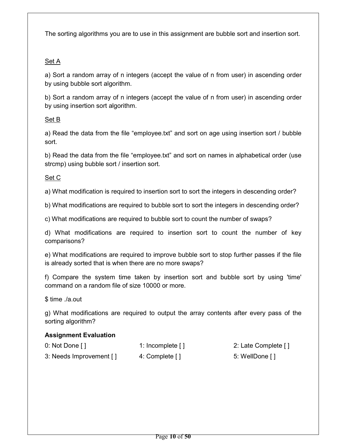The sorting algorithms you are to use in this assignment are bubble sort and insertion sort.

## Set A

a) Sort a random array of n integers (accept the value of n from user) in ascending order by using bubble sort algorithm.

b) Sort a random array of n integers (accept the value of n from user) in ascending order by using insertion sort algorithm.

## Set B

a) Read the data from the file "employee.txt" and sort on age using insertion sort / bubble sort.

b) Read the data from the file "employee.txt" and sort on names in alphabetical order (use strcmp) using bubble sort / insertion sort.

## Set C

a) What modification is required to insertion sort to sort the integers in descending order?

b) What modifications are required to bubble sort to sort the integers in descending order?

c) What modifications are required to bubble sort to count the number of swaps?

d) What modifications are required to insertion sort to count the number of key comparisons?

e) What modifications are required to improve bubble sort to stop further passes if the file is already sorted that is when there are no more swaps?

f) Compare the system time taken by insertion sort and bubble sort by using 'time' command on a random file of size 10000 or more.

\$ time ./a.out

g) What modifications are required to output the array contents after every pass of the sorting algorithm?

| 0: Not Done $\lceil \cdot \rceil$ | 1: Incomplete $\lceil \cdot \rceil$ | 2: Late Complete [] |
|-----------------------------------|-------------------------------------|---------------------|
| 3: Needs Improvement []           | 4: Complete []                      | 5: WellDone []      |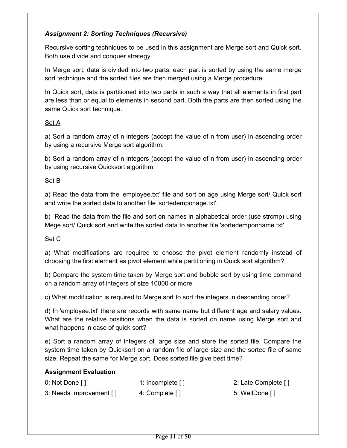#### Assignment 2: Sorting Techniques (Recursive)

Recursive sorting techniques to be used in this assignment are Merge sort and Quick sort. Both use divide and conquer strategy.

In Merge sort, data is divided into two parts, each part is sorted by using the same merge sort technique and the sorted files are then merged using a Merge procedure.

In Quick sort, data is partitioned into two parts in such a way that all elements in first part are less than or equal to elements in second part. Both the parts are then sorted using the same Quick sort technique.

#### Set A

a) Sort a random array of n integers (accept the value of n from user) in ascending order by using a recursive Merge sort algorithm.

b) Sort a random array of n integers (accept the value of n from user) in ascending order by using recursive Quicksort algorithm.

#### Set B

a) Read the data from the 'employee.txt' file and sort on age using Merge sort/ Quick sort and write the sorted data to another file 'sortedemponage.txt'.

b) Read the data from the file and sort on names in alphabetical order (use strcmp) using Mege sort/ Quick sort and write the sorted data to another file 'sortedemponname.txt'.

#### Set C

a) What modifications are required to choose the pivot element randomly instead of choosing the first element as pivot element while partitioning in Quick sort algorithm?

b) Compare the system time taken by Merge sort and bubble sort by using time command on a random array of integers of size 10000 or more.

c) What modification is required to Merge sort to sort the integers in descending order?

d) In 'employee.txt' there are records with same name but different age and salary values. What are the relative positions when the data is sorted on name using Merge sort and what happens in case of quick sort?

e) Sort a random array of integers of large size and store the sorted file. Compare the system time taken by Quicksort on a random file of large size and the sorted file of same size. Repeat the same for Merge sort. Does sorted file give best time?

| 0: Not Done $\lceil \cdot \rceil$ | 1: Incomplete $\lceil \cdot \rceil$ | 2: Late Complete [] |
|-----------------------------------|-------------------------------------|---------------------|
| 3: Needs Improvement []           | 4: Complete []                      | 5: WellDone []      |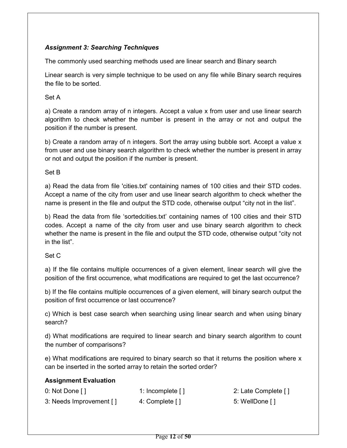#### Assignment 3: Searching Techniques

The commonly used searching methods used are linear search and Binary search

Linear search is very simple technique to be used on any file while Binary search requires the file to be sorted.

Set A

a) Create a random array of n integers. Accept a value x from user and use linear search algorithm to check whether the number is present in the array or not and output the position if the number is present.

b) Create a random array of n integers. Sort the array using bubble sort. Accept a value x from user and use binary search algorithm to check whether the number is present in array or not and output the position if the number is present.

Set B

a) Read the data from file 'cities.txt' containing names of 100 cities and their STD codes. Accept a name of the city from user and use linear search algorithm to check whether the name is present in the file and output the STD code, otherwise output "city not in the list".

b) Read the data from file 'sortedcities.txt' containing names of 100 cities and their STD codes. Accept a name of the city from user and use binary search algorithm to check whether the name is present in the file and output the STD code, otherwise output "city not in the list".

Set C

a) If the file contains multiple occurrences of a given element, linear search will give the position of the first occurrence, what modifications are required to get the last occurrence?

b) If the file contains multiple occurrences of a given element, will binary search output the position of first occurrence or last occurrence?

c) Which is best case search when searching using linear search and when using binary search?

d) What modifications are required to linear search and binary search algorithm to count the number of comparisons?

e) What modifications are required to binary search so that it returns the position where x can be inserted in the sorted array to retain the sorted order?

| 0: Not Done []          | 1: Incomplete $\lceil \cdot \rceil$ | 2: Late Complete [] |
|-------------------------|-------------------------------------|---------------------|
| 3: Needs Improvement [] | 4: Complete []                      | 5: WellDone []      |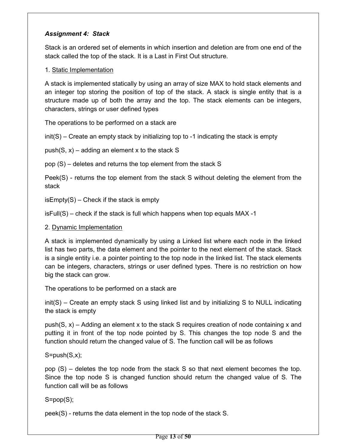#### Assignment 4: Stack

Stack is an ordered set of elements in which insertion and deletion are from one end of the stack called the top of the stack. It is a Last in First Out structure.

#### 1. Static Implementation

A stack is implemented statically by using an array of size MAX to hold stack elements and an integer top storing the position of top of the stack. A stack is single entity that is a structure made up of both the array and the top. The stack elements can be integers, characters, strings or user defined types

The operations to be performed on a stack are

init(S) – Create an empty stack by initializing top to -1 indicating the stack is empty

push(S,  $x$ ) – adding an element x to the stack S

pop (S) – deletes and returns the top element from the stack S

Peek(S) - returns the top element from the stack S without deleting the element from the stack

 $isEmpty(S)$  – Check if the stack is empty

isFull(S) – check if the stack is full which happens when top equals MAX -1

#### 2. Dynamic Implementation

A stack is implemented dynamically by using a Linked list where each node in the linked list has two parts, the data element and the pointer to the next element of the stack. Stack is a single entity i.e. a pointer pointing to the top node in the linked list. The stack elements can be integers, characters, strings or user defined types. There is no restriction on how big the stack can grow.

The operations to be performed on a stack are

init(S) – Create an empty stack S using linked list and by initializing S to NULL indicating the stack is empty

push(S, x) – Adding an element x to the stack S requires creation of node containing x and putting it in front of the top node pointed by S. This changes the top node S and the function should return the changed value of S. The function call will be as follows

 $S = push(S, x);$ 

pop (S) – deletes the top node from the stack S so that next element becomes the top. Since the top node S is changed function should return the changed value of S. The function call will be as follows

S=pop(S);

peek(S) - returns the data element in the top node of the stack S.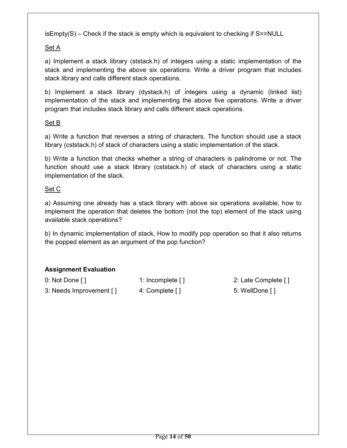isEmpty(S) – Check if the stack is empty which is equivalent to checking if S==NULL

## Set A

a) Implement a stack library (ststack.h) of integers using a static implementation of the stack and implementing the above six operations. Write a driver program that includes stack library and calls different stack operations.

b) Implement a stack library (dystack.h) of integers using a dynamic (linked list) implementation of the stack and implementing the above five operations. Write a driver program that includes stack library and calls different stack operations.

#### Set B

a) Write a function that reverses a string of characters. The function should use a stack library (cststack.h) of stack of characters using a static implementation of the stack.

b) Write a function that checks whether a string of characters is palindrome or not. The function should use a stack library (cststack.h) of stack of characters using a static implementation of the stack.

## Set C

a) Assuming one already has a stack library with above six operations available, how to implement the operation that deletes the bottom (not the top) element of the stack using available stack operations?

b) In dynamic implementation of stack, How to modify pop operation so that it also returns the popped element as an argument of the pop function?

| 0: Not Done []          | 1: Incomplete $\lceil \cdot \rceil$ | 2: Late Complete [] |
|-------------------------|-------------------------------------|---------------------|
| 3: Needs Improvement [] | 4: Complete []                      | 5: WellDone [ ]     |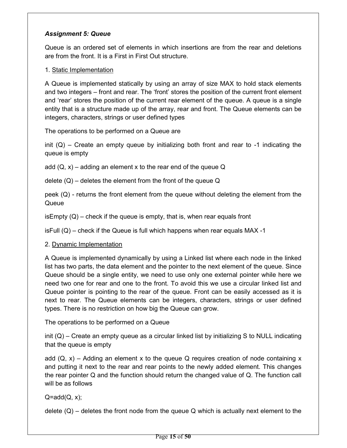#### Assignment 5: Queue

Queue is an ordered set of elements in which insertions are from the rear and deletions are from the front. It is a First in First Out structure.

#### 1. Static Implementation

A Queue is implemented statically by using an array of size MAX to hold stack elements and two integers – front and rear. The 'front' stores the position of the current front element and 'rear' stores the position of the current rear element of the queue. A queue is a single entity that is a structure made up of the array, rear and front. The Queue elements can be integers, characters, strings or user defined types

The operations to be performed on a Queue are

init  $(Q)$  – Create an empty queue by initializing both front and rear to -1 indicating the queue is empty

add  $(Q, x)$  – adding an element x to the rear end of the queue Q

delete  $(Q)$  – deletes the element from the front of the queue  $Q$ 

peek (Q) - returns the front element from the queue without deleting the element from the Queue

isEmpty  $(Q)$  – check if the queue is empty, that is, when rear equals front

 $i$ sFull (Q) – check if the Queue is full which happens when rear equals MAX -1

#### 2. Dynamic Implementation

A Queue is implemented dynamically by using a Linked list where each node in the linked list has two parts, the data element and the pointer to the next element of the queue. Since Queue should be a single entity, we need to use only one external pointer while here we need two one for rear and one to the front. To avoid this we use a circular linked list and Queue pointer is pointing to the rear of the queue. Front can be easily accessed as it is next to rear. The Queue elements can be integers, characters, strings or user defined types. There is no restriction on how big the Queue can grow.

The operations to be performed on a Queue

init  $(Q)$  – Create an empty queue as a circular linked list by initializing S to NULL indicating that the queue is empty

add  $(Q, x)$  – Adding an element x to the queue Q requires creation of node containing x and putting it next to the rear and rear points to the newly added element. This changes the rear pointer Q and the function should return the changed value of Q. The function call will be as follows

 $Q = add(Q, x);$ 

delete  $(Q)$  – deletes the front node from the queue Q which is actually next element to the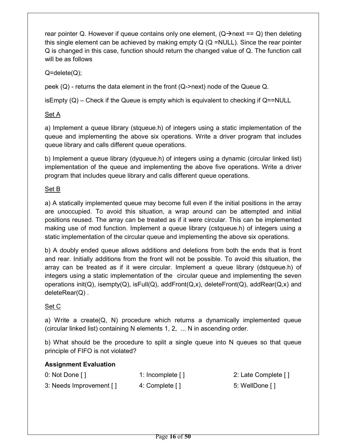rear pointer Q. However if queue contains only one element,  $(Q \rightarrow$  next == Q) then deleting this single element can be achieved by making empty  $Q$  ( $Q = NULL$ ). Since the rear pointer Q is changed in this case, function should return the changed value of Q. The function call will be as follows

 $Q =$ delete $(Q)$ ;

peek (Q) - returns the data element in the front (Q->next) node of the Queue Q.

isEmpty  $(Q)$  – Check if the Queue is empty which is equivalent to checking if  $Q = = NULL$ 

## Set A

a) Implement a queue library (stqueue.h) of integers using a static implementation of the queue and implementing the above six operations. Write a driver program that includes queue library and calls different queue operations.

b) Implement a queue library (dyqueue.h) of integers using a dynamic (circular linked list) implementation of the queue and implementing the above five operations. Write a driver program that includes queue library and calls different queue operations.

## Set B

a) A statically implemented queue may become full even if the initial positions in the array are unoccupied. To avoid this situation, a wrap around can be attempted and initial positions reused. The array can be treated as if it were circular. This can be implemented making use of mod function. Implement a queue library (cstqueue.h) of integers using a static implementation of the circular queue and implementing the above six operations.

b) A doubly ended queue allows additions and deletions from both the ends that is front and rear. Initially additions from the front will not be possible. To avoid this situation, the array can be treated as if it were circular. Implement a queue library (dstqueue.h) of integers using a static implementation of the circular queue and implementing the seven operations init( $Q$ ), isempty( $Q$ ), isFull( $Q$ ), addFront( $Q$ ,x), deleteFront( $Q$ ), addRear( $Q$ ,x) and deleteRear(Q) .

## Set C

a) Write a create(Q, N) procedure which returns a dynamically implemented queue (circular linked list) containing N elements 1, 2, ... N in ascending order.

b) What should be the procedure to split a single queue into N queues so that queue principle of FIFO is not violated?

| 0: Not Done $\lceil \cdot \rceil$ | 1: Incomplete $\lceil \cdot \rceil$ | 2: Late Complete [] |
|-----------------------------------|-------------------------------------|---------------------|
| 3: Needs Improvement []           | 4: Complete []                      | 5: WellDone []      |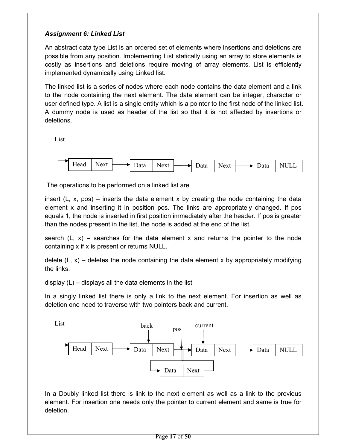## Assignment 6: Linked List

An abstract data type List is an ordered set of elements where insertions and deletions are possible from any position. Implementing List statically using an array to store elements is costly as insertions and deletions require moving of array elements. List is efficiently implemented dynamically using Linked list.

The linked list is a series of nodes where each node contains the data element and a link to the node containing the next element. The data element can be integer, character or user defined type. A list is a single entity which is a pointer to the first node of the linked list. A dummy node is used as header of the list so that it is not affected by insertions or deletions.



The operations to be performed on a linked list are

insert  $(L, x, pos)$  – inserts the data element x by creating the node containing the data element x and inserting it in position pos. The links are appropriately changed. If pos equals 1, the node is inserted in first position immediately after the header. If pos is greater than the nodes present in the list, the node is added at the end of the list.

search  $(L, x)$  – searches for the data element x and returns the pointer to the node containing x if x is present or returns NULL.

delete  $(L, x)$  – deletes the node containing the data element x by appropriately modifying the links.

display  $(L)$  – displays all the data elements in the list

In a singly linked list there is only a link to the next element. For insertion as well as deletion one need to traverse with two pointers back and current.



In a Doubly linked list there is link to the next element as well as a link to the previous element. For insertion one needs only the pointer to current element and same is true for deletion.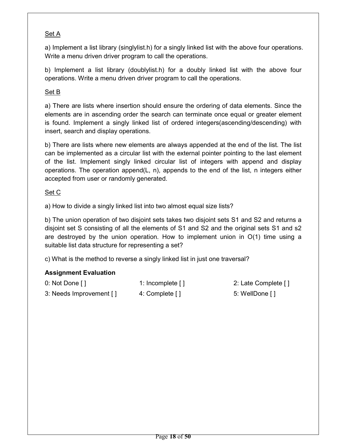## Set A

a) Implement a list library (singlylist.h) for a singly linked list with the above four operations. Write a menu driven driver program to call the operations.

b) Implement a list library (doublylist.h) for a doubly linked list with the above four operations. Write a menu driven driver program to call the operations.

#### Set B

a) There are lists where insertion should ensure the ordering of data elements. Since the elements are in ascending order the search can terminate once equal or greater element is found. Implement a singly linked list of ordered integers(ascending/descending) with insert, search and display operations.

b) There are lists where new elements are always appended at the end of the list. The list can be implemented as a circular list with the external pointer pointing to the last element of the list. Implement singly linked circular list of integers with append and display operations. The operation append(L, n), appends to the end of the list, n integers either accepted from user or randomly generated.

#### Set C

a) How to divide a singly linked list into two almost equal size lists?

b) The union operation of two disjoint sets takes two disjoint sets S1 and S2 and returns a disjoint set S consisting of all the elements of S1 and S2 and the original sets S1 and s2 are destroyed by the union operation. How to implement union in  $O(1)$  time using a suitable list data structure for representing a set?

c) What is the method to reverse a singly linked list in just one traversal?

| 0: Not Done $[1]$       | 1: Incomplete $\lceil \cdot \rceil$ | 2: Late Complete [] |
|-------------------------|-------------------------------------|---------------------|
| 3: Needs Improvement [] | 4: Complete []                      | 5: WellDone []      |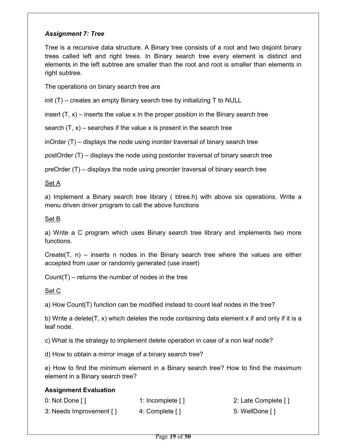#### Assignment 7: Tree

Tree is a recursive data structure. A Binary tree consists of a root and two disjoint binary trees called left and right trees. In Binary search tree every element is distinct and elements in the left subtree are smaller than the root and root is smaller than elements in right subtree.

The operations on binary search tree are

init (T) – creates an empty Binary search tree by initializing T to NULL

insert  $(T, x)$  – inserts the value x in the proper position in the Binary search tree

search  $(T, x)$  – searches if the value x is present in the search tree

inOrder (T) – displays the node using inorder traversal of binary search tree

postOrder (T) – displays the node using postorder traversal of binary search tree

preOrder (T) – displays the node using preorder traversal of binary search tree

#### Set A

a) Implement a Binary search tree library ( btree.h) with above six operations. Write a menu driven driver program to call the above functions

#### Set B

a) Write a C program which uses Binary search tree library and implements two more functions.

Create( $T$ ,  $n$ ) – inserts n nodes in the Binary search tree where the values are either accepted from user or randomly generated (use insert)

Count $(T)$  – returns the number of nodes in the tree

Set C

a) How Count(T) function can be modified instead to count leaf nodes in the tree?

b) Write a delete( $T$ , x) which deletes the node containing data element x if and only if it is a leaf node.

c) What is the strategy to implement delete operation in case of a non leaf node?

d) How to obtain a mirror image of a binary search tree?

e) How to find the minimum element in a Binary search tree? How to find the maximum element in a Binary search tree?

| 0: Not Done $\lceil \cdot \rceil$ | 1: Incomplete $\lceil \cdot \rceil$ | 2: Late Complete [] |  |  |
|-----------------------------------|-------------------------------------|---------------------|--|--|
| 3: Needs Improvement []           | 4: Complete []                      | 5: WellDone []      |  |  |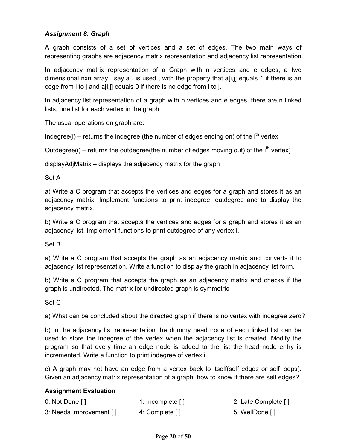#### Assignment 8: Graph

A graph consists of a set of vertices and a set of edges. The two main ways of representing graphs are adjacency matrix representation and adjacency list representation.

In adjacency matrix representation of a Graph with n vertices and e edges, a two dimensional nxn array, say a, is used, with the property that a [i, ] equals 1 if there is an edge from i to j and a[i,j] equals 0 if there is no edge from i to j.

In adjacency list representation of a graph with n vertices and e edges, there are n linked lists, one list for each vertex in the graph.

The usual operations on graph are:

Indegree(i) – returns the indegree (the number of edges ending on) of the  $i<sup>th</sup>$  vertex

Outdegree(i) – returns the outdegree(the number of edges moving out) of the  $i<sup>th</sup>$  vertex)

displayAdjMatrix – displays the adjacency matrix for the graph

Set A

a) Write a C program that accepts the vertices and edges for a graph and stores it as an adjacency matrix. Implement functions to print indegree, outdegree and to display the adjacency matrix.

b) Write a C program that accepts the vertices and edges for a graph and stores it as an adjacency list. Implement functions to print outdegree of any vertex i.

Set B

a) Write a C program that accepts the graph as an adjacency matrix and converts it to adjacency list representation. Write a function to display the graph in adjacency list form.

b) Write a C program that accepts the graph as an adjacency matrix and checks if the graph is undirected. The matrix for undirected graph is symmetric

Set C

a) What can be concluded about the directed graph if there is no vertex with indegree zero?

b) In the adjacency list representation the dummy head node of each linked list can be used to store the indegree of the vertex when the adjacency list is created. Modify the program so that every time an edge node is added to the list the head node entry is incremented. Write a function to print indegree of vertex i.

c) A graph may not have an edge from a vertex back to itself(self edges or self loops). Given an adjacency matrix representation of a graph, how to know if there are self edges?

| 0: Not Done [ ]         | 1: Incomplete [] | 2: Late Complete [] |
|-------------------------|------------------|---------------------|
| 3: Needs Improvement [] | 4: Complete [ ]  | 5: WellDone [ ]     |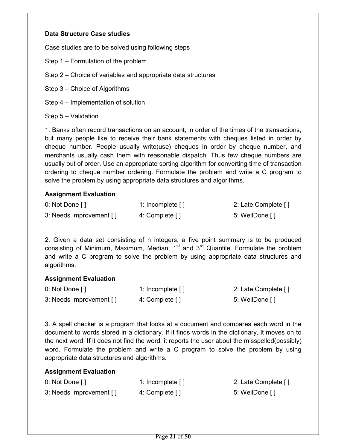#### Data Structure Case studies

Case studies are to be solved using following steps

- Step 1 Formulation of the problem
- Step 2 Choice of variables and appropriate data structures
- Step 3 Choice of Algorithms
- Step 4 Implementation of solution
- Step 5 Validation

1. Banks often record transactions on an account, in order of the times of the transactions, but many people like to receive their bank statements with cheques listed in order by cheque number. People usually write(use) cheques in order by cheque number, and merchants usually cash them with reasonable dispatch. Thus few cheque numbers are usually out of order. Use an appropriate sorting algorithm for converting time of transaction ordering to cheque number ordering. Formulate the problem and write a C program to solve the problem by using appropriate data structures and algorithms.

#### Assignment Evaluation

| 0: Not Done []          | 1: Incomplete $\lceil \cdot \rceil$ | 2: Late Complete [] |
|-------------------------|-------------------------------------|---------------------|
| 3: Needs Improvement [] | 4: Complete []                      | 5: WellDone []      |

2. Given a data set consisting of n integers, a five point summary is to be produced consisting of Minimum, Maximum, Median,  $1<sup>st</sup>$  and  $3<sup>rd</sup>$  Quantile. Formulate the problem and write a C program to solve the problem by using appropriate data structures and algorithms.

#### Assignment Evaluation

| 0: Not Done $\lceil \cdot \rceil$ | 1: Incomplete $\lceil \cdot \rceil$ | 2: Late Complete [] |
|-----------------------------------|-------------------------------------|---------------------|
| 3: Needs Improvement []           | 4: Complete []                      | 5: WellDone []      |

3. A spell checker is a program that looks at a document and compares each word in the document to words stored in a dictionary. If it finds words in the dictionary, it moves on to the next word, If it does not find the word, it reports the user about the misspelled(possibly) word. Formulate the problem and write a C program to solve the problem by using appropriate data structures and algorithms.

| 0: Not Done $\lceil \cdot \rceil$ | 1: Incomplete $\lceil \cdot \rceil$ | 2: Late Complete [] |
|-----------------------------------|-------------------------------------|---------------------|
| 3: Needs Improvement []           | 4: Complete []                      | 5: WellDone [ ]     |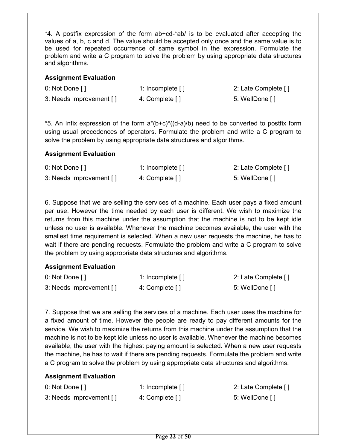\*4. A postfix expression of the form ab+cd-\*ab/ is to be evaluated after accepting the values of a, b, c and d. The value should be accepted only once and the same value is to be used for repeated occurrence of same symbol in the expression. Formulate the problem and write a C program to solve the problem by using appropriate data structures and algorithms.

#### Assignment Evaluation

| 0: Not Done $\lceil \cdot \rceil$ | 1: Incomplete $\lceil \cdot \rceil$ | 2: Late Complete [] |
|-----------------------------------|-------------------------------------|---------------------|
| 3: Needs Improvement []           | 4: Complete []                      | 5: WellDone []      |

\*5. An Infix expression of the form a\*(b+c)\*((d-a)/b) need to be converted to postfix form using usual precedences of operators. Formulate the problem and write a C program to solve the problem by using appropriate data structures and algorithms.

#### Assignment Evaluation

| 0: Not Done $\lceil \cdot \rceil$ | 1: Incomplete $\lceil \cdot \rceil$ | 2: Late Complete [] |
|-----------------------------------|-------------------------------------|---------------------|
| 3: Needs Improvement []           | 4: Complete []                      | 5: WellDone []      |

6. Suppose that we are selling the services of a machine. Each user pays a fixed amount per use. However the time needed by each user is different. We wish to maximize the returns from this machine under the assumption that the machine is not to be kept idle unless no user is available. Whenever the machine becomes available, the user with the smallest time requirement is selected. When a new user requests the machine, he has to wait if there are pending requests. Formulate the problem and write a C program to solve the problem by using appropriate data structures and algorithms.

#### Assignment Evaluation

| 0: Not Done $\lceil \cdot \rceil$ | 1: Incomplete $\lceil \cdot \rceil$ | 2: Late Complete [] |
|-----------------------------------|-------------------------------------|---------------------|
| 3: Needs Improvement []           | 4: Complete []                      | 5: WellDone [ ]     |

7. Suppose that we are selling the services of a machine. Each user uses the machine for a fixed amount of time. However the people are ready to pay different amounts for the service. We wish to maximize the returns from this machine under the assumption that the machine is not to be kept idle unless no user is available. Whenever the machine becomes available, the user with the highest paying amount is selected. When a new user requests the machine, he has to wait if there are pending requests. Formulate the problem and write a C program to solve the problem by using appropriate data structures and algorithms.

| 0: Not Done $\lceil \cdot \rceil$ | 1: Incomplete $\lceil \cdot \rceil$ | 2: Late Complete [] |
|-----------------------------------|-------------------------------------|---------------------|
| 3: Needs Improvement []           | 4: Complete []                      | 5: WellDone []      |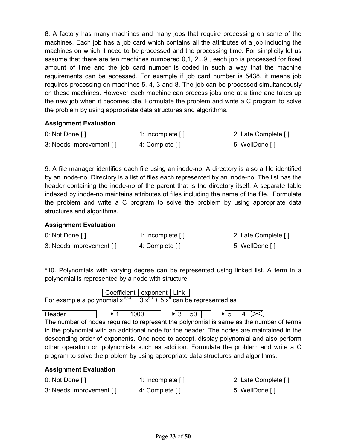8. A factory has many machines and many jobs that require processing on some of the machines. Each job has a job card which contains all the attributes of a job including the machines on which it need to be processed and the processing time. For simplicity let us assume that there are ten machines numbered 0,1, 2...9 , each job is processed for fixed amount of time and the job card number is coded in such a way that the machine requirements can be accessed. For example if job card number is 5438, it means job requires processing on machines 5, 4, 3 and 8. The job can be processed simultaneously on these machines. However each machine can process jobs one at a time and takes up the new job when it becomes idle. Formulate the problem and write a C program to solve the problem by using appropriate data structures and algorithms.

#### Assignment Evaluation

| 0: Not Done $\lceil \cdot \rceil$ | 1: Incomplete $\lceil \cdot \rceil$ | 2: Late Complete [] |
|-----------------------------------|-------------------------------------|---------------------|
| 3: Needs Improvement []           | 4: Complete [ ]                     | 5: WellDone []      |

9. A file manager identifies each file using an inode-no. A directory is also a file identified by an inode-no. Directory is a list of files each represented by an inode-no. The list has the header containing the inode-no of the parent that is the directory itself. A separate table indexed by inode-no maintains attributes of files including the name of the file. Formulate the problem and write a C program to solve the problem by using appropriate data structures and algorithms.

#### Assignment Evaluation

| 0: Not Done $\lceil \cdot \rceil$ | 1: Incomplete $\lceil \cdot \rceil$ | 2: Late Complete [] |
|-----------------------------------|-------------------------------------|---------------------|
| 3: Needs Improvement []           | 4: Complete []                      | 5: WellDone [ ]     |

\*10. Polynomials with varying degree can be represented using linked list. A term in a polynomial is represented by a node with structure.

Coefficient | exponent | Link For example a polynomial  $x^{1000} + 3x^{50} + 5x^4$  can be represented as

|  | 10.5<br>าeaเ |  |  |  | и<br>vu |  |  | . . | ы<br>. . |  |  |  |  |  |
|--|--------------|--|--|--|---------|--|--|-----|----------|--|--|--|--|--|
|--|--------------|--|--|--|---------|--|--|-----|----------|--|--|--|--|--|

The number of nodes required to represent the polynomial is same as the number of terms in the polynomial with an additional node for the header. The nodes are maintained in the descending order of exponents. One need to accept, display polynomial and also perform other operation on polynomials such as addition. Formulate the problem and write a C program to solve the problem by using appropriate data structures and algorithms.

| 0: Not Done []          | 1: Incomplete $\lceil \cdot \rceil$ | 2: Late Complete [] |
|-------------------------|-------------------------------------|---------------------|
| 3: Needs Improvement [] | 4: Complete []                      | 5: WellDone []      |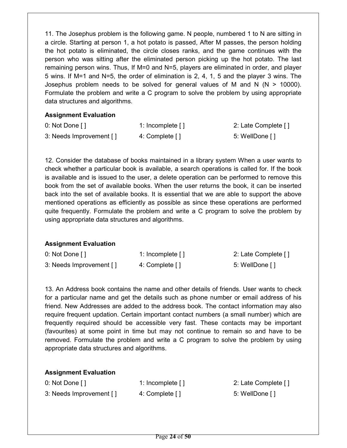11. The Josephus problem is the following game. N people, numbered 1 to N are sitting in a circle. Starting at person 1, a hot potato is passed, After M passes, the person holding the hot potato is eliminated, the circle closes ranks, and the game continues with the person who was sitting after the eliminated person picking up the hot potato. The last remaining person wins. Thus, If M=0 and N=5, players are eliminated in order, and player 5 wins. If M=1 and N=5, the order of elimination is 2, 4, 1, 5 and the player 3 wins. The Josephus problem needs to be solved for general values of M and N  $(N > 10000)$ . Formulate the problem and write a C program to solve the problem by using appropriate data structures and algorithms.

#### Assignment Evaluation

| 0: Not Done $\lceil \cdot \rceil$ | 1: Incomplete $[ \ ]$ | 2: Late Complete [] |
|-----------------------------------|-----------------------|---------------------|
| 3: Needs Improvement []           | 4: Complete [ ]       | 5: WellDone []      |

12. Consider the database of books maintained in a library system When a user wants to check whether a particular book is available, a search operations is called for. If the book is available and is issued to the user, a delete operation can be performed to remove this book from the set of available books. When the user returns the book, it can be inserted back into the set of available books. It is essential that we are able to support the above mentioned operations as efficiently as possible as since these operations are performed quite frequently. Formulate the problem and write a C program to solve the problem by using appropriate data structures and algorithms.

#### Assignment Evaluation

| 0: Not Done $\lceil \cdot \rceil$ | 1: Incomplete $[$ ] | 2: Late Complete [] |
|-----------------------------------|---------------------|---------------------|
| 3: Needs Improvement []           | 4: Complete []      | 5: WellDone [ ]     |

13. An Address book contains the name and other details of friends. User wants to check for a particular name and get the details such as phone number or email address of his friend. New Addresses are added to the address book. The contact information may also require frequent updation. Certain important contact numbers (a small number) which are frequently required should be accessible very fast. These contacts may be important (favourites) at some point in time but may not continue to remain so and have to be removed. Formulate the problem and write a C program to solve the problem by using appropriate data structures and algorithms.

| 0: Not Done []          | 1: Incomplete $[$ ] | 2: Late Complete [] |
|-------------------------|---------------------|---------------------|
| 3: Needs Improvement [] | 4: Complete []      | 5: WellDone [ ]     |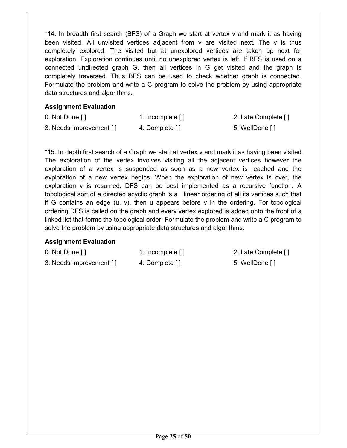\*14. In breadth first search (BFS) of a Graph we start at vertex v and mark it as having been visited. All unvisited vertices adjacent from v are visited next. The v is thus completely explored. The visited but at unexplored vertices are taken up next for exploration. Exploration continues until no unexplored vertex is left. If BFS is used on a connected undirected graph G, then all vertices in G get visited and the graph is completely traversed. Thus BFS can be used to check whether graph is connected. Formulate the problem and write a C program to solve the problem by using appropriate data structures and algorithms.

#### Assignment Evaluation

| 0: Not Done $\lceil \cdot \rceil$ | 1: Incomplete $[ \ ]$ | 2: Late Complete [] |
|-----------------------------------|-----------------------|---------------------|
| 3: Needs Improvement []           | 4: Complete [ 1       | 5: WellDone []      |

\*15. In depth first search of a Graph we start at vertex v and mark it as having been visited. The exploration of the vertex involves visiting all the adjacent vertices however the exploration of a vertex is suspended as soon as a new vertex is reached and the exploration of a new vertex begins. When the exploration of new vertex is over, the exploration v is resumed. DFS can be best implemented as a recursive function. A topological sort of a directed acyclic graph is a linear ordering of all its vertices such that if G contains an edge  $(u, v)$ , then u appears before  $v$  in the ordering. For topological ordering DFS is called on the graph and every vertex explored is added onto the front of a linked list that forms the topological order. Formulate the problem and write a C program to solve the problem by using appropriate data structures and algorithms.

| 0: Not Done $\lceil \cdot \rceil$ | 1: Incomplete $\lceil \cdot \rceil$ | 2: Late Complete [] |
|-----------------------------------|-------------------------------------|---------------------|
| 3: Needs Improvement []           | 4: Complete []                      | 5: WellDone [ ]     |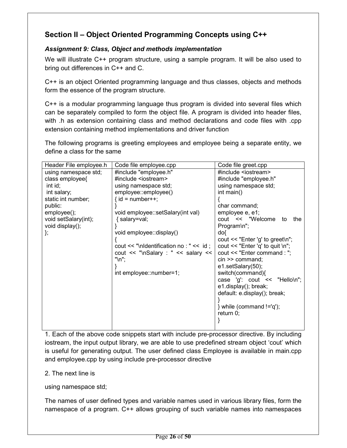## Section II – Object Oriented Programming Concepts using C++

#### Assignment 9: Class, Object and methods implementation

We will illustrate C++ program structure, using a sample program. It will be also used to bring out differences in C++ and C.

C++ is an object Oriented programming language and thus classes, objects and methods form the essence of the program structure.

C++ is a modular programming language thus program is divided into several files which can be separately compiled to form the object file. A program is divided into header files, with .h as extension containing class and method declarations and code files with .cpp extension containing method implementations and driver function

The following programs is greeting employees and employee being a separate entity, we define a class for the same

| Header File employee.h | Code file employee.cpp                         | Code file greet.cpp                                 |
|------------------------|------------------------------------------------|-----------------------------------------------------|
| using namespace std;   | #include "employee.h"                          | #include <iostream></iostream>                      |
| class employee{        | #include <iostream></iostream>                 | #include "employee.h"                               |
| int id;                | using namespace std;                           | using namespace std;                                |
| int salary;            | employee::employee()                           | int main()                                          |
| static int number;     | $\{ id = number++ \}$                          |                                                     |
| public:                |                                                | char command;                                       |
| employee();            | void employee::setSalary(int val)              | employee e, e1;                                     |
| void setSalary(int);   | { salary=val;                                  | cout << "Welcome"<br>the<br>to                      |
| void display();        |                                                | Program\n";                                         |
| };                     | void employee::display()                       | }do                                                 |
|                        |                                                | cout $<<$ "Enter 'g' to greet\n";                   |
|                        | cout $\le$ "\nldentification no : " $\le$ id ; | cout << "Enter 'q' to quit \n";                     |
|                        | cout << "\nSalary : " << salary <<             | cout << "Enter command : ";                         |
|                        | "\n";                                          | $cin \gg command;$                                  |
|                        |                                                | e1.setSalary(50);                                   |
|                        | int employee::number=1;                        | switch(command){                                    |
|                        |                                                | case 'g': $\cot \leq \sqrt{\tan \theta}$ "Hello'n"; |
|                        |                                                | e1.display(); break;                                |
|                        |                                                | default: e.display(); break;                        |
|                        |                                                |                                                     |
|                        |                                                | } while (command $!=$ 'q');                         |
|                        |                                                | return 0;                                           |
|                        |                                                |                                                     |
|                        |                                                |                                                     |

1. Each of the above code snippets start with include pre-processor directive. By including iostream, the input output library, we are able to use predefined stream object 'cout' which is useful for generating output. The user defined class Employee is available in main.cpp and employee.cpp by using include pre-processor directive

#### 2. The next line is

using namespace std;

The names of user defined types and variable names used in various library files, form the namespace of a program. C++ allows grouping of such variable names into namespaces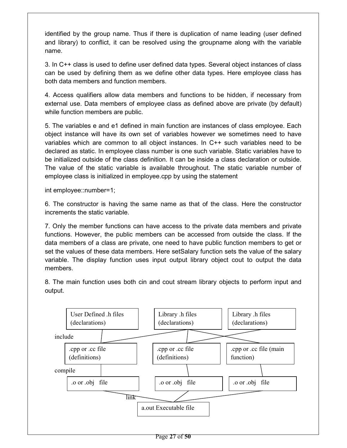identified by the group name. Thus if there is duplication of name leading (user defined and library) to conflict, it can be resolved using the groupname along with the variable name.

3. In C++ class is used to define user defined data types. Several object instances of class can be used by defining them as we define other data types. Here employee class has both data members and function members.

4. Access qualifiers allow data members and functions to be hidden, if necessary from external use. Data members of employee class as defined above are private (by default) while function members are public.

5. The variables e and e1 defined in main function are instances of class employee. Each object instance will have its own set of variables however we sometimes need to have variables which are common to all object instances. In C++ such variables need to be declared as static. In employee class number is one such variable. Static variables have to be initialized outside of the class definition. It can be inside a class declaration or outside. The value of the static variable is available throughout. The static variable number of employee class is initialized in employee.cpp by using the statement

int employee::number=1;

6. The constructor is having the same name as that of the class. Here the constructor increments the static variable.

7. Only the member functions can have access to the private data members and private functions. However, the public members can be accessed from outside the class. If the data members of a class are private, one need to have public function members to get or set the values of these data members. Here setSalary function sets the value of the salary variable. The display function uses input output library object cout to output the data members.

8. The main function uses both cin and cout stream library objects to perform input and output.

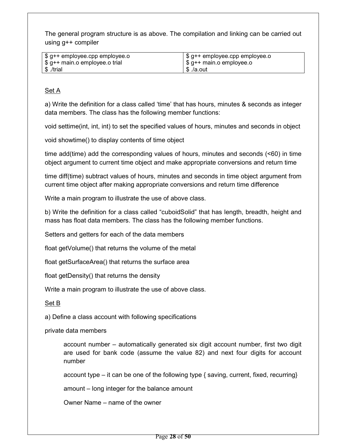The general program structure is as above. The compilation and linking can be carried out using g++ compiler

| \$ g++ employee.cpp employee.o | \$ g++ employee.cpp employee.o |
|--------------------------------|--------------------------------|
| \$ g++ main.o employee.o trial | \$ g++ main.o employee.o       |
| S./trial                       | S ./a.out                      |

#### Set A

a) Write the definition for a class called 'time' that has hours, minutes & seconds as integer data members. The class has the following member functions:

void settime(int, int, int) to set the specified values of hours, minutes and seconds in object

void showtime() to display contents of time object

time add(time) add the corresponding values of hours, minutes and seconds (<60) in time object argument to current time object and make appropriate conversions and return time

time diff(time) subtract values of hours, minutes and seconds in time object argument from current time object after making appropriate conversions and return time difference

Write a main program to illustrate the use of above class.

b) Write the definition for a class called "cuboidSolid" that has length, breadth, height and mass has float data members. The class has the following member functions.

Setters and getters for each of the data members

float getVolume() that returns the volume of the metal

float getSurfaceArea() that returns the surface area

float getDensity() that returns the density

Write a main program to illustrate the use of above class.

#### Set B

a) Define a class account with following specifications

private data members

account number – automatically generated six digit account number, first two digit are used for bank code (assume the value 82) and next four digits for account number

account type – it can be one of the following type { saving, current, fixed, recurring}

amount – long integer for the balance amount

Owner Name – name of the owner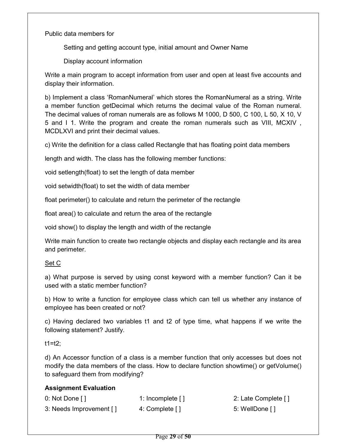Public data members for

Setting and getting account type, initial amount and Owner Name

Display account information

Write a main program to accept information from user and open at least five accounts and display their information.

b) Implement a class 'RomanNumeral' which stores the RomanNumeral as a string. Write a member function getDecimal which returns the decimal value of the Roman numeral. The decimal values of roman numerals are as follows M 1000, D 500, C 100, L 50, X 10, V 5 and I 1. Write the program and create the roman numerals such as VIII, MCXIV , MCDLXVI and print their decimal values.

c) Write the definition for a class called Rectangle that has floating point data members

length and width. The class has the following member functions:

void setlength(float) to set the length of data member

void setwidth(float) to set the width of data member

float perimeter() to calculate and return the perimeter of the rectangle

float area() to calculate and return the area of the rectangle

void show() to display the length and width of the rectangle

Write main function to create two rectangle objects and display each rectangle and its area and perimeter.

#### Set C

a) What purpose is served by using const keyword with a member function? Can it be used with a static member function?

b) How to write a function for employee class which can tell us whether any instance of employee has been created or not?

c) Having declared two variables t1 and t2 of type time, what happens if we write the following statement? Justify.

 $t1 = t2$ ;

d) An Accessor function of a class is a member function that only accesses but does not modify the data members of the class. How to declare function showtime() or getVolume() to safeguard them from modifying?

| 0: Not Done $\lceil \cdot \rceil$ | 1: Incomplete $\lceil \cdot \rceil$ | 2: Late Complete [] |
|-----------------------------------|-------------------------------------|---------------------|
| 3: Needs Improvement []           | 4: Complete []                      | 5: WellDone []      |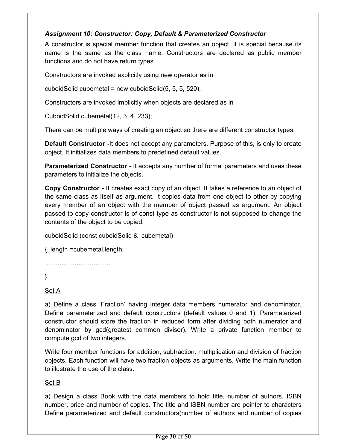#### Assignment 10: Constructor: Copy, Default & Parameterized Constructor

A constructor is special member function that creates an object. It is special because its name is the same as the class name. Constructors are declared as public member functions and do not have return types.

Constructors are invoked explicitly using new operator as in

cuboidSolid cubemetal = new cuboidSolid(5, 5, 5, 520);

Constructors are invoked implicitly when objects are declared as in

CuboidSolid cubemetal(12, 3, 4, 233);

There can be multiple ways of creating an object so there are different constructor types.

Default Constructor -It does not accept any parameters. Purpose of this, is only to create object. It initializes data members to predefined default values.

Parameterized Constructor - It accepts any number of formal parameters and uses these parameters to initialize the objects.

Copy Constructor - It creates exact copy of an object. It takes a reference to an object of the same class as itself as argument. It copies data from one object to other by copying every member of an object with the member of object passed as argument. An object passed to copy constructor is of const type as constructor is not supposed to change the contents of the object to be copied.

cuboidSolid (const cuboidSolid & cubemetal)

{ length =cubemetal.length;

…………………………

}

#### Set A

a) Define a class 'Fraction' having integer data members numerator and denominator. Define parameterized and default constructors (default values 0 and 1). Parameterized constructor should store the fraction in reduced form after dividing both numerator and denominator by gcd(greatest common divisor). Write a private function member to compute gcd of two integers.

Write four member functions for addition, subtraction. multiplication and division of fraction objects. Each function will have two fraction objects as arguments. Write the main function to illustrate the use of the class.

#### Set B

a) Design a class Book with the data members to hold title, number of authors, ISBN number, price and number of copies. The title and ISBN number are pointer to characters Define parameterized and default constructors(number of authors and number of copies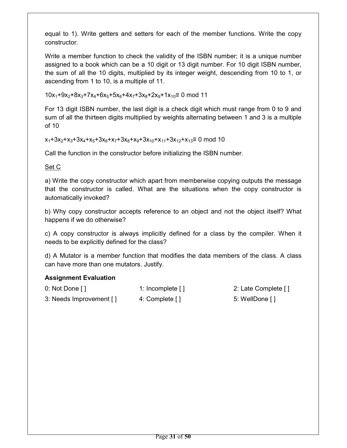equal to 1). Write getters and setters for each of the member functions. Write the copy constructor.

Write a member function to check the validity of the ISBN number; it is a unique number assigned to a book which can be a 10 digit or 13 digit number. For 10 digit ISBN number, the sum of all the 10 digits, multiplied by its integer weight, descending from 10 to 1, or ascending from 1 to 10, is a multiple of 11.

 $10x_1+9x_2+8x_3+7x_4+6x_5+5x_6+4x_7+3x_8+2x_9+1x_{10}=0$  mod 11

For 13 digit ISBN number, the last digit is a check digit which must range from 0 to 9 and sum of all the thirteen digits multiplied by weights alternating between 1 and 3 is a multiple of 10

 $x_1+3x_2+x_3+3x_4+x_5+3x_6+x_7+3x_8+x_9+3x_{10}+x_{11}+3x_{12}+x_{13}=0$  mod 10

Call the function in the constructor before initializing the ISBN number.

Set C

a) Write the copy constructor which apart from memberwise copying outputs the message that the constructor is called. What are the situations when the copy constructor is automatically invoked?

b) Why copy constructor accepts reference to an object and not the object itself? What happens if we do otherwise?

c) A copy constructor is always implicitly defined for a class by the compiler. When it needs to be explicitly defined for the class?

d) A Mutator is a member function that modifies the data members of the class. A class can have more than one mutators. Justify.

| 0: Not Done []          | 1: Incomplete $\lceil \cdot \rceil$ | 2: Late Complete [] |
|-------------------------|-------------------------------------|---------------------|
| 3: Needs Improvement [] | 4: Complete [ ]                     | 5: WellDone [ ]     |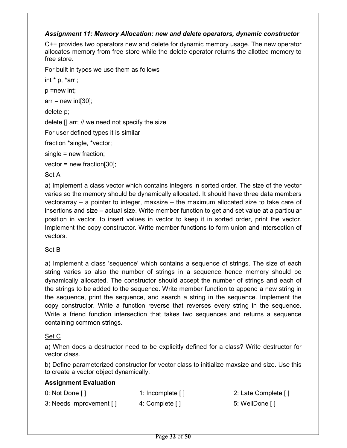#### Assignment 11: Memory Allocation: new and delete operators, dynamic constructor

C++ provides two operators new and delete for dynamic memory usage. The new operator allocates memory from free store while the delete operator returns the allotted memory to free store.

For built in types we use them as follows

int  $*$  p,  $*$ arr ;

p =new int;

 $arr = new int[30]$ ;

delete p;

delete [] arr; // we need not specify the size

For user defined types it is similar

fraction \*single, \*vector;

single = new fraction;

vector = new fraction[30];

#### Set A

a) Implement a class vector which contains integers in sorted order. The size of the vector varies so the memory should be dynamically allocated. It should have three data members vectorarray – a pointer to integer, maxsize – the maximum allocated size to take care of insertions and size – actual size. Write member function to get and set value at a particular position in vector, to insert values in vector to keep it in sorted order, print the vector. Implement the copy constructor. Write member functions to form union and intersection of vectors.

#### Set B

a) Implement a class 'sequence' which contains a sequence of strings. The size of each string varies so also the number of strings in a sequence hence memory should be dynamically allocated. The constructor should accept the number of strings and each of the strings to be added to the sequence. Write member function to append a new string in the sequence, print the sequence, and search a string in the sequence. Implement the copy constructor. Write a function reverse that reverses every string in the sequence. Write a friend function intersection that takes two sequences and returns a sequence containing common strings.

#### Set C

a) When does a destructor need to be explicitly defined for a class? Write destructor for vector class.

b) Define parameterized constructor for vector class to initialize maxsize and size. Use this to create a vector object dynamically.

| 0: Not Done $\lceil \cdot \rceil$ | 1: Incomplete $\lceil \cdot \rceil$ | 2: Late Complete [] |
|-----------------------------------|-------------------------------------|---------------------|
| 3: Needs Improvement []           | 4: Complete []                      | 5: WellDone []      |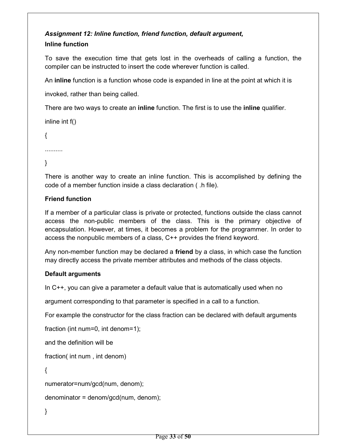## Assignment 12: Inline function, friend function, default argument, Inline function

To save the execution time that gets lost in the overheads of calling a function, the compiler can be instructed to insert the code wherever function is called.

An inline function is a function whose code is expanded in line at the point at which it is

invoked, rather than being called.

There are two ways to create an **inline** function. The first is to use the **inline** qualifier.

inline int f()

```
{
```
..........

}

There is another way to create an inline function. This is accomplished by defining the code of a member function inside a class declaration ( .h file).

#### Friend function

If a member of a particular class is private or protected, functions outside the class cannot access the non-public members of the class. This is the primary objective of encapsulation. However, at times, it becomes a problem for the programmer. In order to access the nonpublic members of a class, C++ provides the friend keyword.

Any non-member function may be declared a friend by a class, in which case the function may directly access the private member attributes and methods of the class objects.

#### Default arguments

```
In C++, you can give a parameter a default value that is automatically used when no
```
argument corresponding to that parameter is specified in a call to a function.

For example the constructor for the class fraction can be declared with default arguments

```
fraction (int num=0, int denom=1);
```
and the definition will be

```
fraction( int num , int denom)
```
{

numerator=num/gcd(num, denom);

denominator = denom/gcd(num, denom);

}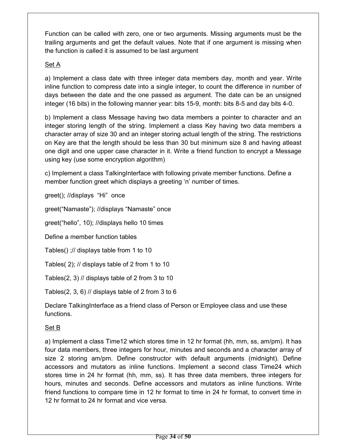Function can be called with zero, one or two arguments. Missing arguments must be the trailing arguments and get the default values. Note that if one argument is missing when the function is called it is assumed to be last argument

## Set A

a) Implement a class date with three integer data members day, month and year. Write inline function to compress date into a single integer, to count the difference in number of days between the date and the one passed as argument. The date can be an unsigned integer (16 bits) in the following manner year: bits 15-9, month: bits 8-5 and day bits 4-0.

b) Implement a class Message having two data members a pointer to character and an integer storing length of the string. Implement a class Key having two data members a character array of size 30 and an integer storing actual length of the string. The restrictions on Key are that the length should be less than 30 but minimum size 8 and having atleast one digit and one upper case character in it. Write a friend function to encrypt a Message using key (use some encryption algorithm)

c) Implement a class TalkingInterface with following private member functions. Define a member function greet which displays a greeting 'n' number of times.

greet(); //displays "Hi" once

greet("Namaste"); //displays "Namaste" once

greet("hello", 10); //displays hello 10 times

Define a member function tables

Tables() ;// displays table from 1 to 10

Tables( 2); // displays table of 2 from 1 to 10

Tables(2, 3) // displays table of 2 from 3 to 10

Tables(2, 3, 6) // displays table of 2 from 3 to 6

Declare TalkingInterface as a friend class of Person or Employee class and use these functions.

#### Set B

a) Implement a class Time12 which stores time in 12 hr format (hh, mm, ss, am/pm). It has four data members, three integers for hour, minutes and seconds and a character array of size 2 storing am/pm. Define constructor with default arguments (midnight). Define accessors and mutators as inline functions. Implement a second class Time24 which stores time in 24 hr format (hh, mm, ss). It has three data members, three integers for hours, minutes and seconds. Define accessors and mutators as inline functions. Write friend functions to compare time in 12 hr format to time in 24 hr format, to convert time in 12 hr format to 24 hr format and vice versa.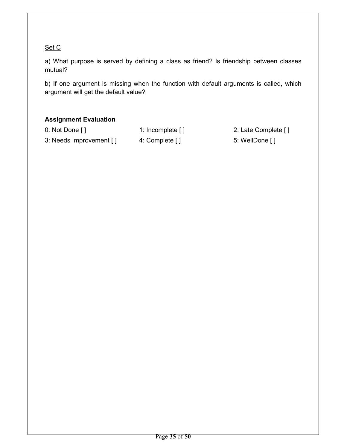## Set C

a) What purpose is served by defining a class as friend? Is friendship between classes mutual?

b) If one argument is missing when the function with default arguments is called, which argument will get the default value?

#### Assignment Evaluation

0: Not Done [ ] 1: Incomplete [ ] 2: Late Complete [ ] 3: Needs Improvement [ ] 4: Complete [ ] 5: WellDone [ ]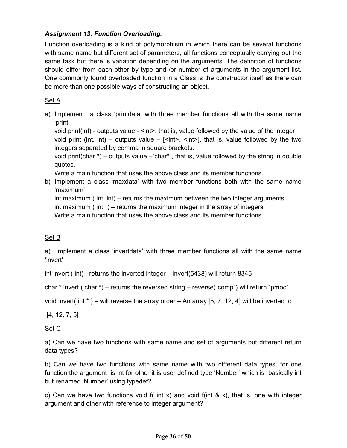#### Assignment 13: Function Overloading.

Function overloading is a kind of polymorphism in which there can be several functions with same name but different set of parameters, all functions conceptually carrying out the same task but there is variation depending on the arguments. The definition of functions should differ from each other by type and /or number of arguments in the argument list. One commonly found overloaded function in a Class is the constructor itself as there can be more than one possible ways of constructing an object.

#### Set A

a) Implement a class 'printdata' with three member functions all with the same name 'print'

void print(int) - outputs value -  $\leq$  int $\geq$ , that is, value followed by the value of the integer void print (int, int) – outputs value –  $[\sin \frac{1}{2}, \sin \frac{1}{2}]$ , that is, value followed by the two integers separated by comma in square brackets.

void print(char \*) – outputs value –"char\*", that is, value followed by the string in double quotes.

Write a main function that uses the above class and its member functions.

b) Implement a class 'maxdata' with two member functions both with the same name 'maximum'

int maximum ( int, int) – returns the maximum between the two integer arguments int maximum ( int \*) – returns the maximum integer in the array of integers Write a main function that uses the above class and its member functions.

#### Set B

a) Implement a class 'invertdata' with three member functions all with the same name 'invert'

int invert ( int) - returns the inverted integer – invert(5438) will return 8345

char \* invert ( char \*) – returns the reversed string – reverse("comp") will return "pmoc"

void invert( int  $*$  ) – will reverse the array order – An array [5, 7, 12, 4] will be inverted to

[4, 12, 7, 5]

#### Set C

a) Can we have two functions with same name and set of arguments but different return data types?

b) Can we have two functions with same name with two different data types, for one function the argument is int for other it is user defined type 'Number' which is basically int but renamed 'Number' using typedef?

c) Can we have two functions void  $f$  (int x) and void  $f$  (int & x), that is, one with integer argument and other with reference to integer argument?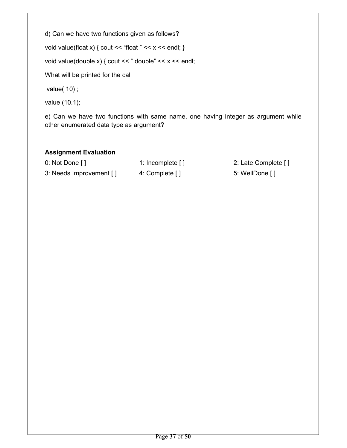d) Can we have two functions given as follows? void value(float x) { cout << "float " <<  $x$  << endl; } void value(double x) { cout << " double" << x << endl; What will be printed for the call value( 10) ; value (10.1);

e) Can we have two functions with same name, one having integer as argument while other enumerated data type as argument?

| 0: Not Done []          | 1: Incomplete $\lceil \cdot \rceil$ | 2: Late Complete [] |
|-------------------------|-------------------------------------|---------------------|
| 3: Needs Improvement [] | 4: Complete []                      | 5: WellDone [ ]     |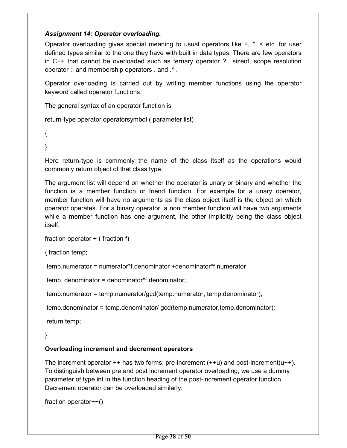#### Assignment 14: Operator overloading.

Operator overloading gives special meaning to usual operators like  $+, * , <$  etc. for user defined types similar to the one they have with built in data types. There are few operators in C++ that cannot be overloaded such as ternary operator ?:, sizeof, scope resolution operator :: and membership operators . and .\* .

Operator overloading is carried out by writing member functions using the operator keyword called operator functions.

The general syntax of an operator function is

return-type operator operatorsymbol ( parameter list)

{

}

Here return-type is commonly the name of the class itself as the operations would commonly return object of that class type.

The argument list will depend on whether the operator is unary or binary and whether the function is a member function or friend function. For example for a unary operator, member function will have no arguments as the class object itself is the object on which operator operates. For a binary operator, a non member function will have two arguments while a member function has one argument, the other implicitly being the class object itself.

```
fraction operator + (fraction f)
```
{ fraction temp;

temp.numerator = numerator\*f.denominator +denominator\*f.numerator

temp. denominator = denominator\*f.denominator;

```
 temp.numerator = temp.numerator/gcd(temp.numerator, temp.denominator);
```
temp.denominator = temp.denominator/ gcd(temp.numerator,temp.denominator);

return temp;

```
}
```
#### Overloading increment and decrement operators

The increment operator  $++$  has two forms: pre-increment  $(++u)$  and post-increment  $(u++)$ . To distinguish between pre and post increment operator overloading, we use a dummy parameter of type int in the function heading of the post-increment operator function. Decrement operator can be overloaded similarly.

```
fraction operator++()
```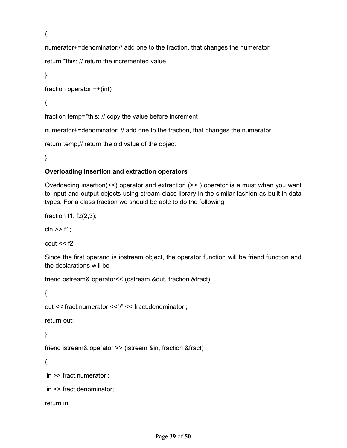```
{ 
numerator+=denominator;// add one to the fraction, that changes the numerator 
return *this; // return the incremented value 
} 
fraction operator ++(int) 
{ 
fraction temp=*this; // copy the value before increment
```
numerator+=denominator; // add one to the fraction, that changes the numerator

return temp;// return the old value of the object

}

#### Overloading insertion and extraction operators

Overloading insertion(<<) operator and extraction (>> ) operator is a must when you want to input and output objects using stream class library in the similar fashion as built in data types. For a class fraction we should be able to do the following

fraction f1, f2(2,3);

 $\sin \gt{>}$  f1;

cout  $<<$  f2;

Since the first operand is iostream object, the operator function will be friend function and the declarations will be

friend ostream& operator<< (ostream &out, fraction &fract)

{

out << fract.numerator <<"/" << fract.denominator ;

return out;

}

friend istream& operator >> (istream &in, fraction &fract)

{

in >> fract.numerator ;

in >> fract.denominator;

return in;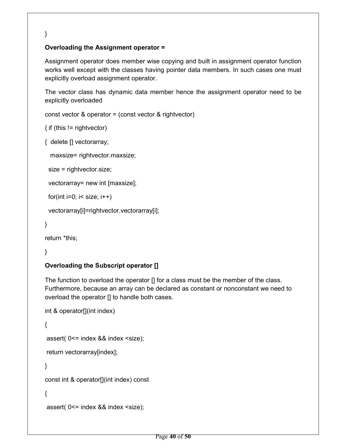## Overloading the Assignment operator =

Assignment operator does member wise copying and built in assignment operator function works well except with the classes having pointer data members. In such cases one must explicitly overload assignment operator.

The vector class has dynamic data member hence the assignment operator need to be explicitly overloaded

const vector & operator = (const vector & rightvector)

```
\{ if (this != rightvector)
```
{ delete [] vectorarray;

maxsize= rightvector.maxsize;

size = rightvector.size;

```
 vectorarray= new int [maxsize];
```

```
for(int i=0; i < size; i++)
```

```
 vectorarray[i]=rightvector.vectorarray[i];
```

```
}
```
}

return \*this;

}

#### Overloading the Subscript operator []

The function to overload the operator [] for a class must be the member of the class. Furthermore, because an array can be declared as constant or nonconstant we need to overload the operator [] to handle both cases.

```
int & operator[](int index) 
{ 
 assert( 0<= index && index <size); 
 return vectorarray[index]; 
} 
const int & operator[](int index) const 
{ 
 assert( 0<= index && index <size);
```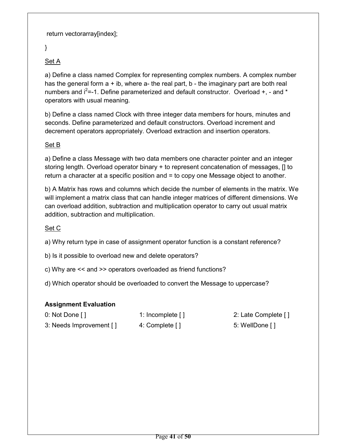#### return vectorarray[index];

}

## Set A

a) Define a class named Complex for representing complex numbers. A complex number has the general form  $a + ib$ , where  $a$ - the real part,  $b$  - the imaginary part are both real numbers and  $i^2$ =-1. Define parameterized and default constructor. Overload  $+$ , - and  $*$ operators with usual meaning.

b) Define a class named Clock with three integer data members for hours, minutes and seconds. Define parameterized and default constructors. Overload increment and decrement operators appropriately. Overload extraction and insertion operators.

#### Set B

a) Define a class Message with two data members one character pointer and an integer storing length. Overload operator binary + to represent concatenation of messages, [] to return a character at a specific position and = to copy one Message object to another.

b) A Matrix has rows and columns which decide the number of elements in the matrix. We will implement a matrix class that can handle integer matrices of different dimensions. We can overload addition, subtraction and multiplication operator to carry out usual matrix addition, subtraction and multiplication.

#### Set C

a) Why return type in case of assignment operator function is a constant reference?

b) Is it possible to overload new and delete operators?

c) Why are << and >> operators overloaded as friend functions?

d) Which operator should be overloaded to convert the Message to uppercase?

#### Assignment Evaluation

0: Not Done [ ] 1: Incomplete [ ] 2: Late Complete [ ] 3: Needs Improvement [ ] 4: Complete [ ] 5: WellDone [ ]

Page 41 of 50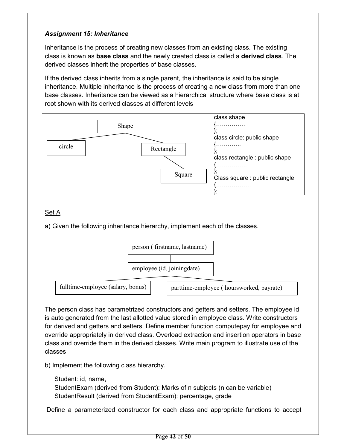## Assignment 15: Inheritance

Inheritance is the process of creating new classes from an existing class. The existing class is known as base class and the newly created class is called a derived class. The derived classes inherit the properties of base classes.

If the derived class inherits from a single parent, the inheritance is said to be single inheritance. Multiple inheritance is the process of creating a new class from more than one base classes. Inheritance can be viewed as a hierarchical structure where base class is at root shown with its derived classes at different levels



#### Set A

a) Given the following inheritance hierarchy, implement each of the classes.



The person class has parametrized constructors and getters and setters. The employee id is auto generated from the last allotted value stored in employee class. Write constructors for derived and getters and setters. Define member function computepay for employee and override appropriately in derived class. Overload extraction and insertion operators in base class and override them in the derived classes. Write main program to illustrate use of the classes

b) Implement the following class hierarchy.

Student: id, name, StudentExam (derived from Student): Marks of n subjects (n can be variable) StudentResult (derived from StudentExam): percentage, grade

Define a parameterized constructor for each class and appropriate functions to accept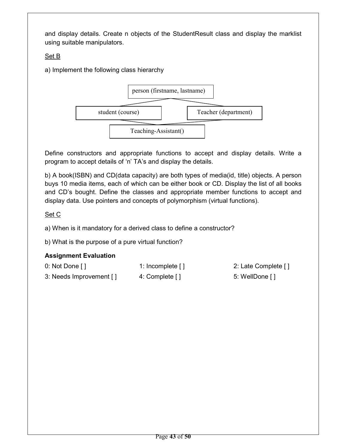and display details. Create n objects of the StudentResult class and display the marklist using suitable manipulators.

## Set B

a) Implement the following class hierarchy



Define constructors and appropriate functions to accept and display details. Write a program to accept details of 'n' TA's and display the details.

b) A book(ISBN) and CD(data capacity) are both types of media(id, title) objects. A person buys 10 media items, each of which can be either book or CD. Display the list of all books and CD's bought. Define the classes and appropriate member functions to accept and display data. Use pointers and concepts of polymorphism (virtual functions).

## Set C

a) When is it mandatory for a derived class to define a constructor?

b) What is the purpose of a pure virtual function?

#### Assignment Evaluation

0: Not Done [ ] 1: Incomplete [ ] 2: Late Complete [ ] 3: Needs Improvement [ ] 4: Complete [ ] 5: WellDone [ ]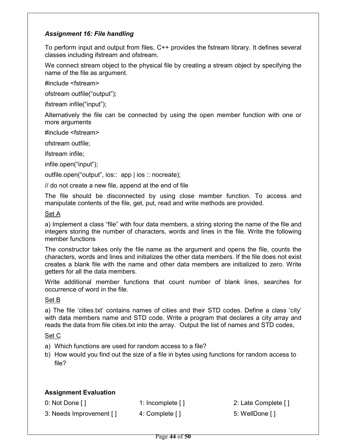#### Assignment 16: File handling

To perform input and output from files, C++ provides the fstream library. It defines several classes including ifstream and ofstream.

We connect stream object to the physical file by creating a stream object by specifying the name of the file as argument.

#include <fstream>

ofstream outfile("output");

ifstream infile("input");

Alternatively the file can be connected by using the open member function with one or more arguments

#include <fstream>

ofstream outfile;

ifstream infile;

infile.open("input");

outfile.open("output", ios:: app | ios :: nocreate);

// do not create a new file, append at the end of file

The file should be disconnected by using close member function. To access and manipulate contents of the file, get, put, read and write methods are provided.

#### Set A

a) Implement a class "file" with four data members, a string storing the name of the file and integers storing the number of characters, words and lines in the file. Write the following member functions

The constructor takes only the file name as the argument and opens the file, counts the characters, words and lines and initializes the other data members. If the file does not exist creates a blank file with the name and other data members are initialized to zero. Write aetters for all the data members.

Write additional member functions that count number of blank lines, searches for occurrence of word in the file.

#### Set B

a) The file 'cities.txt' contains names of cities and their STD codes. Define a class 'city' with data members name and STD code. Write a program that declares a city array and reads the data from file cities.txt into the array. Output the list of names and STD codes,

#### Set C

- a) Which functions are used for random access to a file?
- b) How would you find out the size of a file in bytes using functions for random access to file?

| 0: Not Done [ ]         | 1: Incomplete [] | 2: Late Complete [] |
|-------------------------|------------------|---------------------|
| 3: Needs Improvement [] | 4: Complete [ ]  | 5: WellDone [ ]     |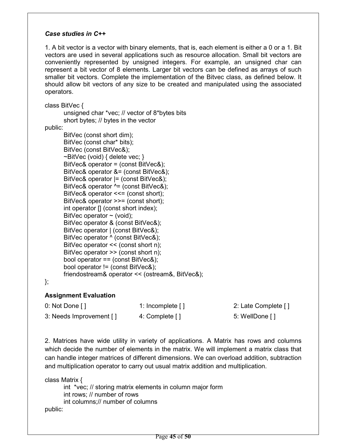#### Case studies in C++

1. A bit vector is a vector with binary elements, that is, each element is either a 0 or a 1. Bit vectors are used in several applications such as resource allocation. Small bit vectors are conveniently represented by unsigned integers. For example, an unsigned char can represent a bit vector of 8 elements. Larger bit vectors can be defined as arrays of such smaller bit vectors. Complete the implementation of the Bitvec class, as defined below. It should allow bit vectors of any size to be created and manipulated using the associated operators.

class BitVec {

unsigned char \*vec; // vector of 8\*bytes bits short bytes; // bytes in the vector

public:

BitVec (const short dim); BitVec (const char\* bits); BitVec (const BitVec&); ~BitVec (void) { delete vec; } BitVec& operator = (const BitVec&); BitVec& operator &= (const BitVec&); BitVec& operator |= (const BitVec&); BitVec& operator ^= (const BitVec&); BitVec& operator <<= (const short); BitVec& operator >>= (const short); int operator [] (const short index); BitVec operator  $\sim$  (void); BitVec operator & (const BitVec&); BitVec operator | (const BitVec&); BitVec operator ^ (const BitVec&); BitVec operator << (const short n); BitVec operator >> (const short n); bool operator == (const BitVec&); bool operator != (const BitVec&); friendostream& operator << (ostream&, BitVec&);

};

#### Assignment Evaluation

| 0: Not Done [ ]         | 1: Incomplete $[ )$ | 2: Late Complete [] |
|-------------------------|---------------------|---------------------|
| 3: Needs Improvement [] | 4: Complete []      | 5: WellDone [ ]     |

2. Matrices have wide utility in variety of applications. A Matrix has rows and columns which decide the number of elements in the matrix. We will implement a matrix class that can handle integer matrices of different dimensions. We can overload addition, subtraction and multiplication operator to carry out usual matrix addition and multiplication.

```
class Matrix { 
      int *vec; // storing matrix elements in column major form 
      int rows; // number of rows 
      int columns;// number of columns 
public:
```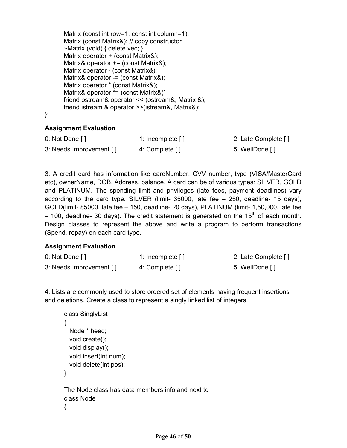Matrix (const int row=1, const int column=1); Matrix (const Matrix&); // copy constructor ~Matrix (void) { delete vec; } Matrix operator + (const Matrix&); Matrix& operator += (const Matrix&); Matrix operator - (const Matrix&); Matrix& operator -= (const Matrix&); Matrix operator \* (const Matrix&); Matrix& operator \*= (const Matrix&)' friend ostream& operator << (ostream&, Matrix &); friend istream & operator >>(istream&, Matrix&);

```
};
```
#### Assignment Evaluation

| 0: Not Done []          | 1: Incomplete $\lceil \cdot \rceil$ | 2: Late Complete [] |
|-------------------------|-------------------------------------|---------------------|
| 3: Needs Improvement [] | 4: Complete []                      | 5: WellDone []      |

3. A credit card has information like cardNumber, CVV number, type (VISA/MasterCard etc), ownerName, DOB, Address, balance. A card can be of various types: SILVER, GOLD and PLATINUM. The spending limit and privileges (late fees, payment deadlines) vary according to the card type. SILVER (limit- 35000, late fee – 250, deadline- 15 days), GOLD(limit- 85000, late fee – 150, deadline- 20 days), PLATINUM (limit- 1,50,000, late fee  $-$  100, deadline- 30 days). The credit statement is generated on the 15<sup>th</sup> of each month. Design classes to represent the above and write a program to perform transactions (Spend, repay) on each card type.

#### Assignment Evaluation

| 0: Not Done $\lceil \cdot \rceil$ | 1: Incomplete $\lceil \cdot \rceil$ | 2: Late Complete [] |
|-----------------------------------|-------------------------------------|---------------------|
| 3: Needs Improvement []           | 4: Complete []                      | 5: WellDone [ ]     |

4. Lists are commonly used to store ordered set of elements having frequent insertions and deletions. Create a class to represent a singly linked list of integers.

```
class SinglyList 
{ 
   Node * head; 
   void create(); 
   void display(); 
   void insert(int num); 
   void delete(int pos); 
}; 
The Node class has data members info and next to 
class Node 
{
```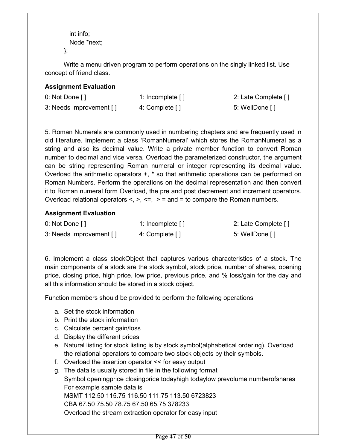```
 int info; 
   Node *next; 
};
```
 Write a menu driven program to perform operations on the singly linked list. Use concept of friend class.

#### Assignment Evaluation

| 0: Not Done $\lceil \cdot \rceil$ | 1: Incomplete [] | 2: Late Complete [] |
|-----------------------------------|------------------|---------------------|
| 3: Needs Improvement []           | 4: Complete [ ]  | 5: WellDone []      |

5. Roman Numerals are commonly used in numbering chapters and are frequently used in old literature. Implement a class 'RomanNumeral' which stores the RomanNumeral as a string and also its decimal value. Write a private member function to convert Roman number to decimal and vice versa. Overload the parameterized constructor, the argument can be string representing Roman numeral or integer representing its decimal value. Overload the arithmetic operators +, \* so that arithmetic operations can be performed on Roman Numbers. Perform the operations on the decimal representation and then convert it to Roman numeral form Overload, the pre and post decrement and increment operators. Overload relational operators  $\lt$ ,  $\gt$ ,  $\lt$  =,  $\gt$  = and = to compare the Roman numbers.

#### Assignment Evaluation

| 0: Not Done $\lceil \cdot \rceil$ | 1: Incomplete $[$ ] | 2: Late Complete [] |
|-----------------------------------|---------------------|---------------------|
| 3: Needs Improvement []           | 4: Complete []      | 5: WellDone [ ]     |

6. Implement a class stockObject that captures various characteristics of a stock. The main components of a stock are the stock symbol, stock price, number of shares, opening price, closing price, high price, low price, previous price, and % loss/gain for the day and all this information should be stored in a stock object.

Function members should be provided to perform the following operations

- a. Set the stock information
- b. Print the stock information
- c. Calculate percent gain/loss
- d. Display the different prices
- e. Natural listing for stock listing is by stock symbol(alphabetical ordering). Overload the relational operators to compare two stock objects by their symbols.
- f. Overload the insertion operator << for easy output
- g. The data is usually stored in file in the following format Symbol openingprice closingprice todayhigh todaylow prevolume numberofshares For example sample data is MSMT 112.50 115.75 116.50 111.75 113.50 6723823 CBA 67.50 75.50 78.75 67.50 65.75 378233 Overload the stream extraction operator for easy input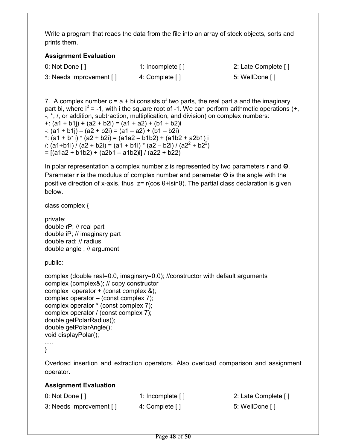Write a program that reads the data from the file into an array of stock objects, sorts and prints them.

#### Assignment Evaluation

| 0: Not Done []          | 1: Incomplete $\lceil \cdot \rceil$ | 2: Late Complete [] |
|-------------------------|-------------------------------------|---------------------|
| 3: Needs Improvement [] | 4: Complete []                      | 5: WellDone [ ]     |

7. A complex number  $c = a + bi$  consists of two parts, the real part a and the imaginary part bi, where  $i^2 = -1$ , with i the square root of -1. We can perform arithmetic operations  $(+,$ -, \*, /, or addition, subtraction, multiplication, and division) on complex numbers: +: (a1 + b1j) + (a2 + b2i) = (a1 + a2) + (b1 + b2)i  $-(a1 + b1i) - (a2 + b2i) = (a1 - a2) + (b1 - b2i)$ \*: (a1 + b1i) \* (a2 + b2i) = (a1a2 – b1b2) + (a1b2 + a2b1) i /: (a1+b1i) / (a2 + b2i) = (a1 + b1i) \* (a2 – b2i) / (a2<sup>2</sup> + b2<sup>2</sup>)  $=$  [(a1a2 + b1b2) + (a2b1 – a1b2)i] / (a22 + b22)

In polar representation a complex number z is represented by two parameters r and Θ. Parameter r is the modulus of complex number and parameter Θ is the angle with the positive direction of x-axis, thus  $z = r(\cos \theta + i \sin \theta)$ . The partial class declaration is given below.

class complex {

private: double rP; // real part double iP; // imaginary part double rad; // radius double angle ; // argument

public:

```
complex (double real=0.0, imaginary=0.0); //constructor with default arguments 
complex (complex&); // copy constructor 
complex operator + (const complex \&);
complex operator – (const complex 7); 
complex operator * (const complex 7); 
complex operator / (const complex 7); 
double getPolarRadius(); 
double getPolarAngle(); 
void displayPolar(); 
….
```
}

Overload insertion and extraction operators. Also overload comparison and assignment operator.

| 0: Not Done $\lceil \cdot \rceil$ | 1: Incomplete [ ] | 2: Late Complete [ ] |
|-----------------------------------|-------------------|----------------------|
| 3: Needs Improvement []           | 4: Complete []    | 5: WellDone [ ]      |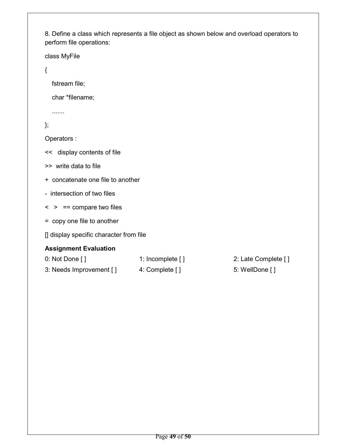8. Define a class which represents a file object as shown below and overload operators to perform file operations:

class MyFile

{

fstream file;

char \*filename;

.......

```
};
```
Operators :

<< display contents of file

- >> write data to file
- + concatenate one file to another
- intersection of two files
- $\leq$  > == compare two files
- = copy one file to another

[] display specific character from file

| 0: Not Done $\lceil \cdot \rceil$ | 1: Incomplete $\lceil \cdot \rceil$ | 2: Late Complete [] |
|-----------------------------------|-------------------------------------|---------------------|
| 3: Needs Improvement []           | 4: Complete [ ]                     | 5: WellDone [ ]     |